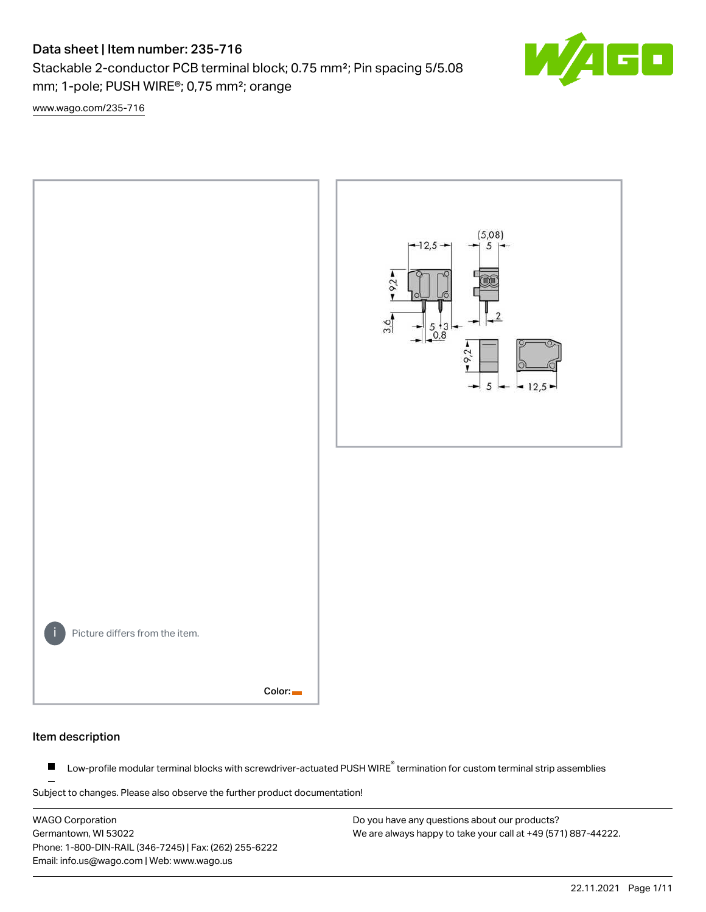# Data sheet | Item number: 235-716

Stackable 2-conductor PCB terminal block; 0.75 mm²; Pin spacing 5/5.08 mm; 1-pole; PUSH WIRE®; 0,75 mm²; orange



[www.wago.com/235-716](http://www.wago.com/235-716)



#### Item description

Low-profile modular terminal blocks with screwdriver-actuated PUSH WIRE<sup>®</sup> termination for custom terminal strip assemblies  $\blacksquare$ 

Subject to changes. Please also observe the further product documentation!

WAGO Corporation Germantown, WI 53022 Phone: 1-800-DIN-RAIL (346-7245) | Fax: (262) 255-6222 Email: info.us@wago.com | Web: www.wago.us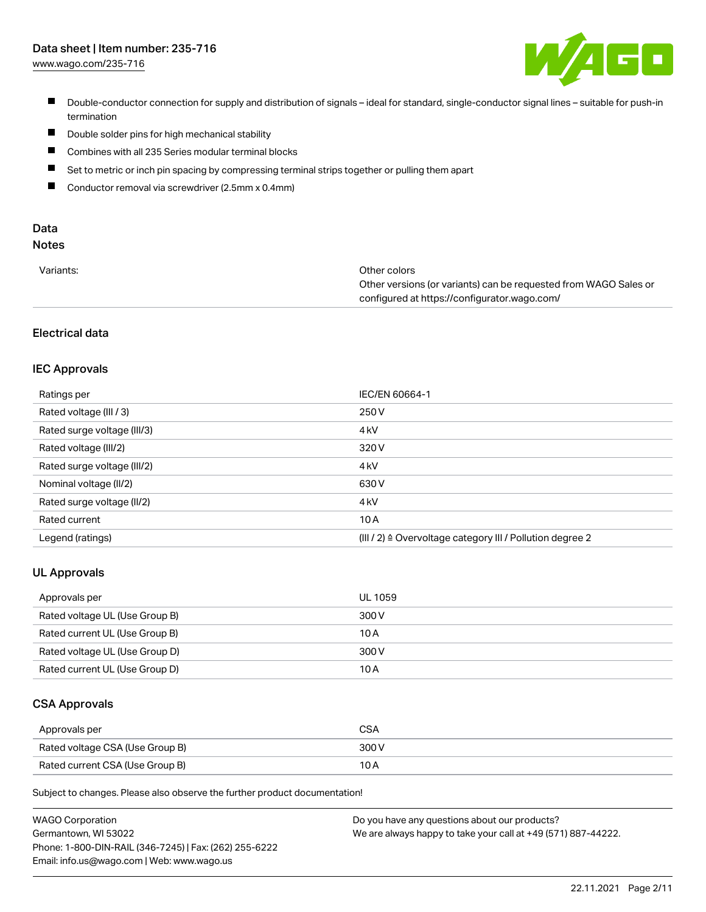# Data sheet | Item number: 235-716

[www.wago.com/235-716](http://www.wago.com/235-716)



- Double-conductor connection for supply and distribution of signals ideal for standard, single-conductor signal lines suitable for push-in termination
- $\blacksquare$ Double solder pins for high mechanical stability
- $\blacksquare$ Combines with all 235 Series modular terminal blocks
- $\blacksquare$ Set to metric or inch pin spacing by compressing terminal strips together or pulling them apart
- $\blacksquare$ Conductor removal via screwdriver (2.5mm x 0.4mm)

# Data

# Notes

| Variants: | Other colors                                                     |
|-----------|------------------------------------------------------------------|
|           | Other versions (or variants) can be requested from WAGO Sales or |
|           | configured at https://configurator.wago.com/                     |

# Electrical data

#### IEC Approvals

| Ratings per                 | IEC/EN 60664-1                                                        |
|-----------------------------|-----------------------------------------------------------------------|
| Rated voltage (III / 3)     | 250 V                                                                 |
| Rated surge voltage (III/3) | 4 <sub>k</sub> V                                                      |
| Rated voltage (III/2)       | 320 V                                                                 |
| Rated surge voltage (III/2) | 4 <sub>k</sub> V                                                      |
| Nominal voltage (II/2)      | 630 V                                                                 |
| Rated surge voltage (II/2)  | 4 <sub>k</sub> V                                                      |
| Rated current               | 10A                                                                   |
| Legend (ratings)            | $(III / 2)$ $\triangle$ Overvoltage category III / Pollution degree 2 |

#### UL Approvals

| Approvals per                  | UL 1059 |
|--------------------------------|---------|
| Rated voltage UL (Use Group B) | 300 V   |
| Rated current UL (Use Group B) | 10 A    |
| Rated voltage UL (Use Group D) | 300 V   |
| Rated current UL (Use Group D) | 10 A    |

#### CSA Approvals

| Approvals per                   | CSA   |
|---------------------------------|-------|
| Rated voltage CSA (Use Group B) | 300 V |
| Rated current CSA (Use Group B) | 10 A  |

Subject to changes. Please also observe the further product documentation!

| <b>WAGO Corporation</b>                                | Do you have any questions about our products?                 |
|--------------------------------------------------------|---------------------------------------------------------------|
| Germantown, WI 53022                                   | We are always happy to take your call at +49 (571) 887-44222. |
| Phone: 1-800-DIN-RAIL (346-7245)   Fax: (262) 255-6222 |                                                               |
| Email: info.us@wago.com   Web: www.wago.us             |                                                               |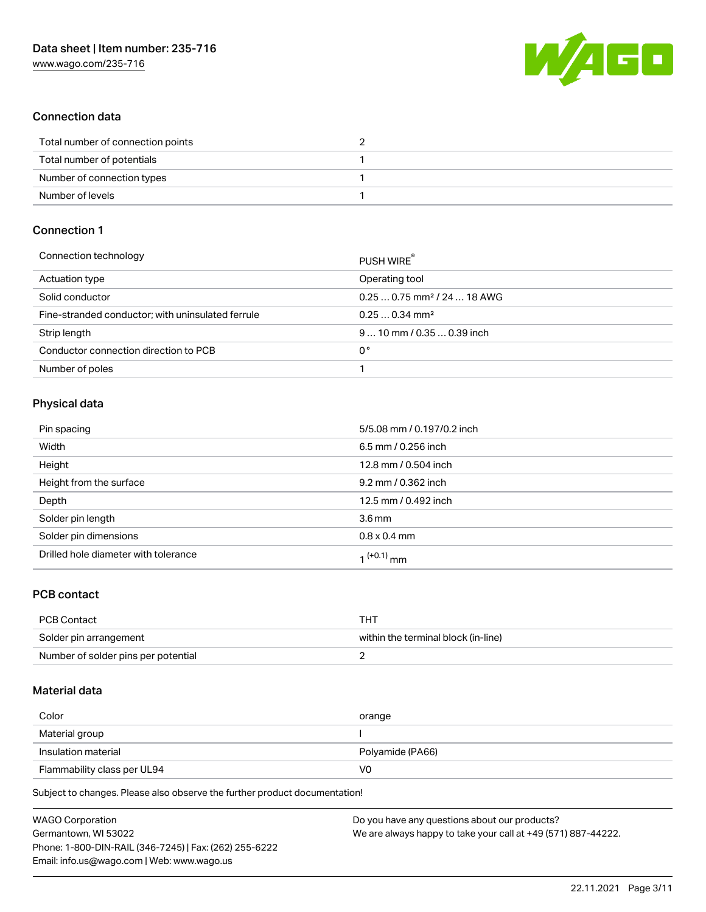

## Connection data

| Total number of connection points |  |
|-----------------------------------|--|
| Total number of potentials        |  |
| Number of connection types        |  |
| Number of levels                  |  |

# Connection 1

| PUSH WIRE                               |
|-----------------------------------------|
| Operating tool                          |
| $0.250.75$ mm <sup>2</sup> / 24  18 AWG |
| $0.250.34$ mm <sup>2</sup>              |
| $910$ mm / 0.35  0.39 inch              |
| 0°                                      |
|                                         |
|                                         |

## Physical data

| Pin spacing                          | 5/5.08 mm / 0.197/0.2 inch |
|--------------------------------------|----------------------------|
| Width                                | 6.5 mm / 0.256 inch        |
| Height                               | 12.8 mm / 0.504 inch       |
| Height from the surface              | 9.2 mm / 0.362 inch        |
| Depth                                | 12.5 mm / 0.492 inch       |
| Solder pin length                    | 3.6 <sub>mm</sub>          |
| Solder pin dimensions                | $0.8 \times 0.4$ mm        |
| Drilled hole diameter with tolerance | 1 <sup>(+0.1)</sup> mm     |

## PCB contact

| PCB Contact                         | THI                                 |
|-------------------------------------|-------------------------------------|
| Solder pin arrangement              | within the terminal block (in-line) |
| Number of solder pins per potential |                                     |

#### Material data

| Color               | orange           |
|---------------------|------------------|
| Material group      |                  |
|                     |                  |
| Insulation material | Polyamide (PA66) |

Subject to changes. Please also observe the further product documentation!

| <b>WAGO Corporation</b>                                | Do you have any questions about our products?                 |
|--------------------------------------------------------|---------------------------------------------------------------|
| Germantown, WI 53022                                   | We are always happy to take your call at +49 (571) 887-44222. |
| Phone: 1-800-DIN-RAIL (346-7245)   Fax: (262) 255-6222 |                                                               |
| Email: info.us@wago.com   Web: www.wago.us             |                                                               |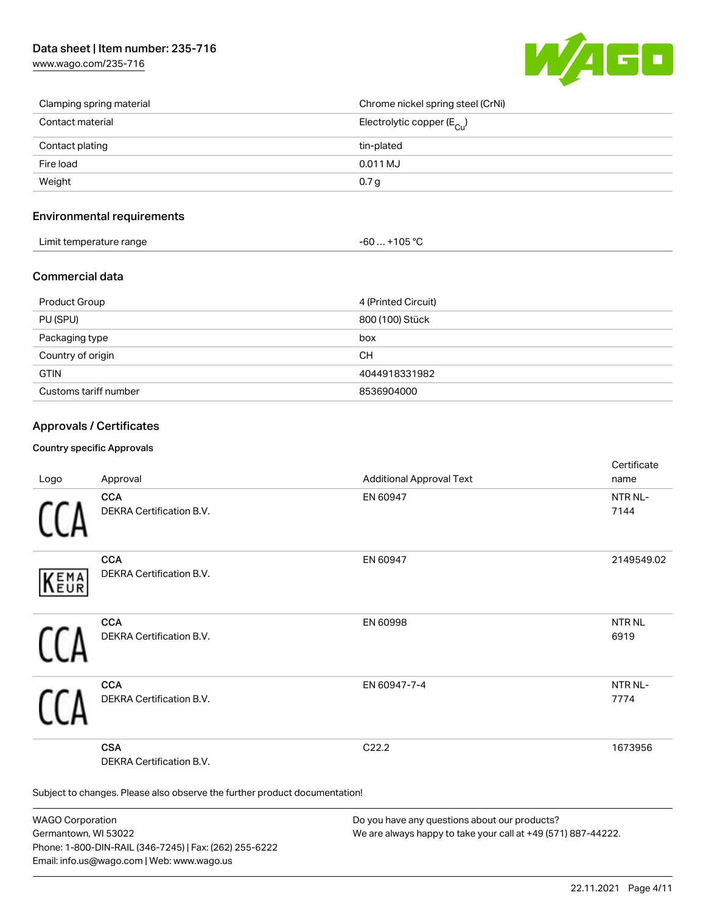[www.wago.com/235-716](http://www.wago.com/235-716)



| Clamping spring material | Chrome nickel spring steel (CrNi)       |
|--------------------------|-----------------------------------------|
| Contact material         | Electrolytic copper ( $E_{\text{Cu}}$ ) |
| Contact plating          | tin-plated                              |
| Fire load                | 0.011 MJ                                |
| Weight                   | 0.7 <sub>g</sub>                        |

### Environmental requirements

| Limit temperature range | $-60+105 °C$ |
|-------------------------|--------------|
|-------------------------|--------------|

#### Commercial data

| Product Group         | 4 (Printed Circuit) |
|-----------------------|---------------------|
| PU (SPU)              | 800 (100) Stück     |
| Packaging type        | box                 |
| Country of origin     | CН                  |
| <b>GTIN</b>           | 4044918331982       |
| Customs tariff number | 8536904000          |

## Approvals / Certificates

#### Country specific Approvals

| Logo                                                                       | Approval                               | <b>Additional Approval Text</b> | Certificate<br>name         |
|----------------------------------------------------------------------------|----------------------------------------|---------------------------------|-----------------------------|
|                                                                            | <b>CCA</b><br>DEKRA Certification B.V. | EN 60947                        | NTR NL-<br>7144             |
| EMA<br>EUR                                                                 | <b>CCA</b><br>DEKRA Certification B.V. | EN 60947                        | 2149549.02                  |
|                                                                            | <b>CCA</b><br>DEKRA Certification B.V. | EN 60998                        | NTR <sub>NL</sub><br>6919   |
|                                                                            | <b>CCA</b><br>DEKRA Certification B.V. | EN 60947-7-4                    | NTR <sub>NL</sub> -<br>7774 |
|                                                                            | <b>CSA</b><br>DEKRA Certification B.V. | C22.2                           | 1673956                     |
| Subject to changes. Please also observe the further product documentation! |                                        |                                 |                             |

WAGO Corporation Germantown, WI 53022 Phone: 1-800-DIN-RAIL (346-7245) | Fax: (262) 255-6222 Email: info.us@wago.com | Web: www.wago.us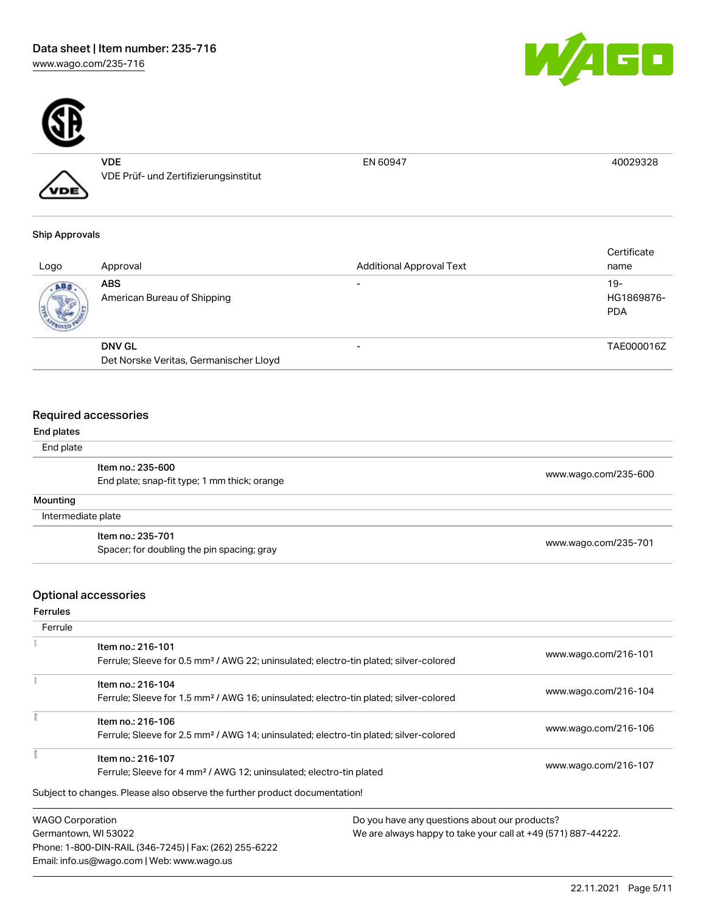



VDE VDE Prüf- und Zertifizierungsinstitut

EN 60947 40029328

#### Ship Approvals

VDE

| Logo | Approval                               | <b>Additional Approval Text</b> | Certificate<br>name             |
|------|----------------------------------------|---------------------------------|---------------------------------|
| ABS. | ABS<br>American Bureau of Shipping     | -                               | 19-<br>HG1869876-<br><b>PDA</b> |
|      | <b>DNV GL</b>                          | -                               | TAE000016Z                      |
|      | Det Norske Veritas, Germanischer Lloyd |                                 |                                 |

### Required accessories

| End plates                                   |                                            |                      |
|----------------------------------------------|--------------------------------------------|----------------------|
| End plate                                    |                                            |                      |
|                                              | Item no.: 235-600                          |                      |
| End plate; snap-fit type; 1 mm thick; orange |                                            | www.wago.com/235-600 |
| Mounting                                     |                                            |                      |
|                                              | Intermediate plate                         |                      |
|                                              | Item no.: 235-701                          |                      |
|                                              | Spacer; for doubling the pin spacing; gray | www.wago.com/235-701 |

# Optional accessories

Ferrules

| Ferrule                 |                                                                                                                        |                                               |
|-------------------------|------------------------------------------------------------------------------------------------------------------------|-----------------------------------------------|
|                         | Item no.: 216-101<br>Ferrule; Sleeve for 0.5 mm <sup>2</sup> / AWG 22; uninsulated; electro-tin plated; silver-colored | www.wago.com/216-101                          |
|                         | Item no.: 216-104<br>Ferrule; Sleeve for 1.5 mm <sup>2</sup> / AWG 16; uninsulated; electro-tin plated; silver-colored | www.wago.com/216-104                          |
|                         | Item no.: 216-106<br>Ferrule; Sleeve for 2.5 mm <sup>2</sup> / AWG 14; uninsulated; electro-tin plated; silver-colored | www.wago.com/216-106                          |
|                         | Item no.: 216-107<br>Ferrule; Sleeve for 4 mm <sup>2</sup> / AWG 12; uninsulated; electro-tin plated                   | www.wago.com/216-107                          |
|                         | Subject to changes. Please also observe the further product documentation!                                             |                                               |
| <b>WAGO Corporation</b> |                                                                                                                        | Do you have any questions about our products? |

Germantown, WI 53022 Phone: 1-800-DIN-RAIL (346-7245) | Fax: (262) 255-6222 Email: info.us@wago.com | Web: www.wago.us

We are always happy to take your call at +49 (571) 887-44222.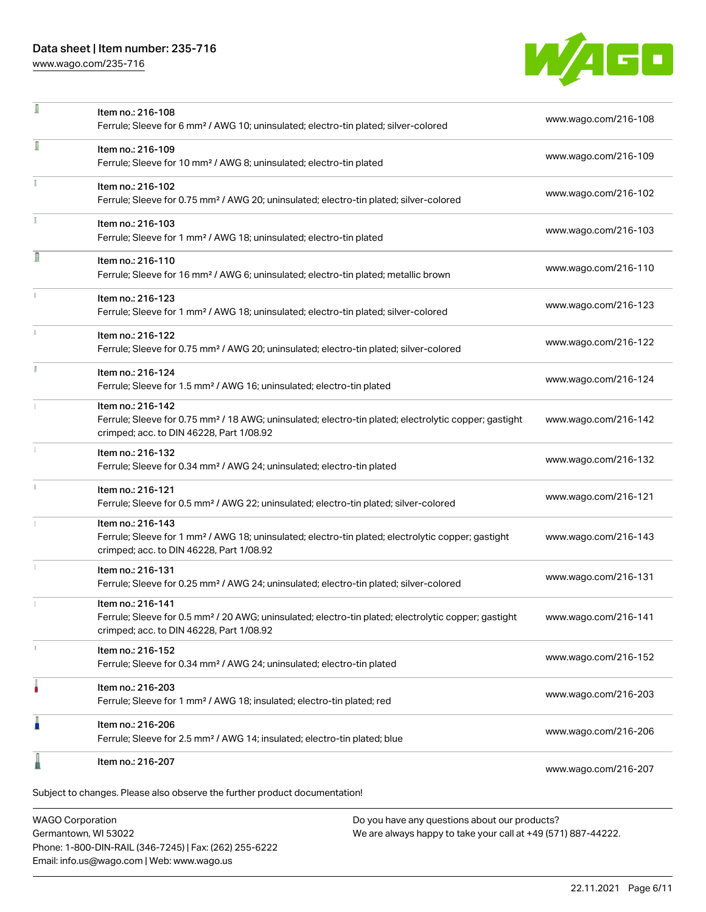# Data sheet | Item number: 235-716

[www.wago.com/235-716](http://www.wago.com/235-716)



|    | Subject to changes. Please also observe the further product documentation!                                                                                                         |                      |
|----|------------------------------------------------------------------------------------------------------------------------------------------------------------------------------------|----------------------|
|    | Item no.: 216-207                                                                                                                                                                  | www.wago.com/216-207 |
| Г  | Item no.: 216-206<br>Ferrule; Sleeve for 2.5 mm <sup>2</sup> / AWG 14; insulated; electro-tin plated; blue                                                                         | www.wago.com/216-206 |
|    | Item no.: 216-203<br>Ferrule; Sleeve for 1 mm <sup>2</sup> / AWG 18; insulated; electro-tin plated; red                                                                            | www.wago.com/216-203 |
| J, | Item no.: 216-152<br>Ferrule; Sleeve for 0.34 mm <sup>2</sup> / AWG 24; uninsulated; electro-tin plated                                                                            | www.wago.com/216-152 |
|    | Item no.: 216-141<br>Ferrule; Sleeve for 0.5 mm <sup>2</sup> / 20 AWG; uninsulated; electro-tin plated; electrolytic copper; gastight<br>crimped; acc. to DIN 46228, Part 1/08.92  | www.wago.com/216-141 |
|    | Item no.: 216-131<br>Ferrule; Sleeve for 0.25 mm <sup>2</sup> / AWG 24; uninsulated; electro-tin plated; silver-colored                                                            | www.wago.com/216-131 |
|    | Item no.: 216-143<br>Ferrule; Sleeve for 1 mm <sup>2</sup> / AWG 18; uninsulated; electro-tin plated; electrolytic copper; gastight<br>crimped; acc. to DIN 46228, Part 1/08.92    | www.wago.com/216-143 |
|    | Item no.: 216-121<br>Ferrule; Sleeve for 0.5 mm <sup>2</sup> / AWG 22; uninsulated; electro-tin plated; silver-colored                                                             | www.wago.com/216-121 |
|    | Item no.: 216-132<br>Ferrule; Sleeve for 0.34 mm <sup>2</sup> / AWG 24; uninsulated; electro-tin plated                                                                            | www.wago.com/216-132 |
|    | Item no.: 216-142<br>Ferrule; Sleeve for 0.75 mm <sup>2</sup> / 18 AWG; uninsulated; electro-tin plated; electrolytic copper; gastight<br>crimped; acc. to DIN 46228, Part 1/08.92 | www.wago.com/216-142 |
|    | Item no.: 216-124<br>Ferrule; Sleeve for 1.5 mm <sup>2</sup> / AWG 16; uninsulated; electro-tin plated                                                                             | www.wago.com/216-124 |
|    | Item no.: 216-122<br>Ferrule; Sleeve for 0.75 mm <sup>2</sup> / AWG 20; uninsulated; electro-tin plated; silver-colored                                                            | www.wago.com/216-122 |
| ı  | Item no.: 216-123<br>Ferrule; Sleeve for 1 mm <sup>2</sup> / AWG 18; uninsulated; electro-tin plated; silver-colored                                                               | www.wago.com/216-123 |
| Л  | Item no.: 216-110<br>Ferrule; Sleeve for 16 mm <sup>2</sup> / AWG 6; uninsulated; electro-tin plated; metallic brown                                                               | www.wago.com/216-110 |
|    | Item no.: 216-103<br>Ferrule; Sleeve for 1 mm <sup>2</sup> / AWG 18; uninsulated; electro-tin plated                                                                               | www.wago.com/216-103 |
|    | Item no.: 216-102<br>Ferrule; Sleeve for 0.75 mm <sup>2</sup> / AWG 20; uninsulated; electro-tin plated; silver-colored                                                            | www.wago.com/216-102 |
|    | Item no.: 216-109<br>Ferrule; Sleeve for 10 mm <sup>2</sup> / AWG 8; uninsulated; electro-tin plated                                                                               | www.wago.com/216-109 |
|    | Item no.: 216-108<br>Ferrule; Sleeve for 6 mm <sup>2</sup> / AWG 10; uninsulated; electro-tin plated; silver-colored                                                               | www.wago.com/216-108 |

WAGO Corporation Germantown, WI 53022 Phone: 1-800-DIN-RAIL (346-7245) | Fax: (262) 255-6222 Email: info.us@wago.com | Web: www.wago.us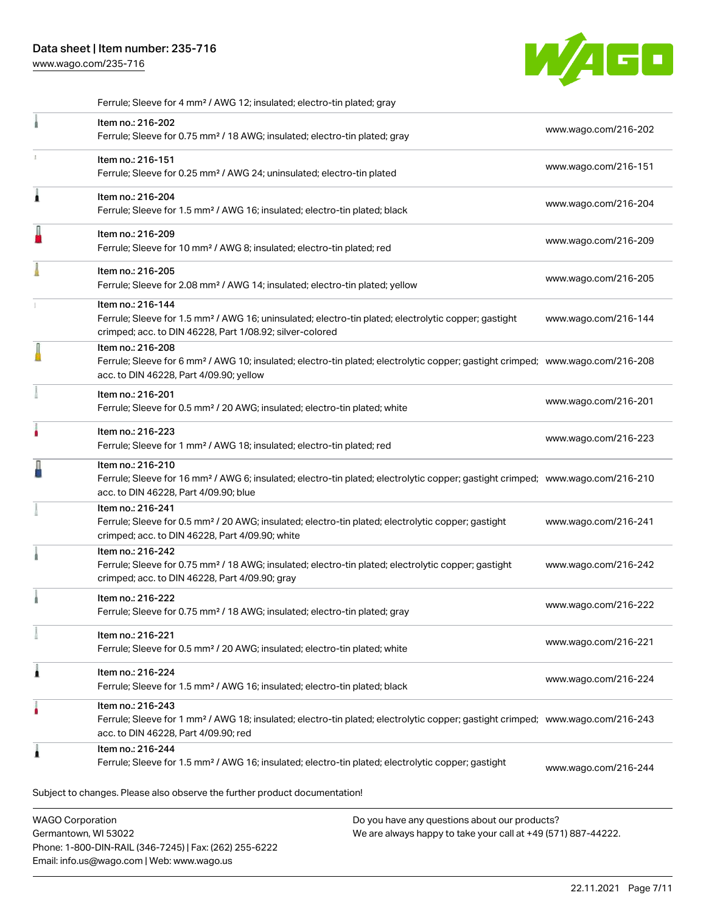[www.wago.com/235-716](http://www.wago.com/235-716)



.<br>Subject to changes. Please also observe the further product documentation! WAGO Corporation Do you have any questions about our products? Ferrule; Sleeve for 4 mm² / AWG 12; insulated; electro-tin plated; gray Item no.: 216-202 Ferrule; Sleeve for 0.75 mm² / 18 AWG; insulated; electro-tin plated; gray [www.wago.com/216-202](http://www.wago.com/216-202) Item no.: 216-151 Ferrule; Sleeve for 0.25 mm² / AWG 24; uninsulated; electro-tin plated [www.wago.com/216-151](http://www.wago.com/216-151) Item no.: 216-204 Ferrule; Sleeve for 1.5 mm² / AWG 16; insulated; electro-tin plated; black [www.wago.com/216-204](http://www.wago.com/216-204) Item no.: 216-209 Ferrule; Sleeve for 10 mm² / AWG 8; insulated; electro-tin plated; red [www.wago.com/216-209](http://www.wago.com/216-209) Item no.: 216-205 Ferrule; Sleeve for 2.08 mm² / AWG 14; insulated; electro-tin plated; yellow [www.wago.com/216-205](http://www.wago.com/216-205) Item no.: 216-144 Ferrule; Sleeve for 1.5 mm² / AWG 16; uninsulated; electro-tin plated; electrolytic copper; gastight crimped; acc. to DIN 46228, Part 1/08.92; silver-colored [www.wago.com/216-144](http://www.wago.com/216-144) Item no.: 216-208 Ferrule; Sleeve for 6 mm² / AWG 10; insulated; electro-tin plated; electrolytic copper; gastight crimped; [www.wago.com/216-208](http://www.wago.com/216-208) acc. to DIN 46228, Part 4/09.90; yellow Item no.: 216-201 Ferrule; Sleeve for 0.5 mm² / 20 AWG; insulated; electro-tin plated; white [www.wago.com/216-201](http://www.wago.com/216-201) Item no.: 216-223 Ferrule; Sleeve for 1 mm² / AWG 18; insulated; electro-tin plated; red [www.wago.com/216-223](http://www.wago.com/216-223) Item no.: 216-210 Ferrule; Sleeve for 16 mm² / AWG 6; insulated; electro-tin plated; electrolytic copper; gastight crimped; [www.wago.com/216-210](http://www.wago.com/216-210) acc. to DIN 46228, Part 4/09.90; blue Item no.: 216-241 Ferrule; Sleeve for 0.5 mm² / 20 AWG; insulated; electro-tin plated; electrolytic copper; gastight crimped; acc. to DIN 46228, Part 4/09.90; white [www.wago.com/216-241](http://www.wago.com/216-241) Item no.: 216-242 Ferrule; Sleeve for 0.75 mm<sup>2</sup> / 18 AWG; insulated; electro-tin plated; electrolytic copper; gastight crimped; acc. to DIN 46228, Part 4/09.90; gray [www.wago.com/216-242](http://www.wago.com/216-242) Item no.: 216-222 Ferrule; Sleeve for 0.75 mm² / 18 AWG; insulated; electro-tin plated; gray [www.wago.com/216-222](http://www.wago.com/216-222) Item no.: 216-221 Ferrule; Sleeve for 0.5 mm² / 20 AWG; insulated; electro-tin plated; white [www.wago.com/216-221](http://www.wago.com/216-221) Item no.: 216-224 Ferrule; Sleeve for 1.5 mm² / AWG 16; insulated; electro-tin plated; black [www.wago.com/216-224](http://www.wago.com/216-224) Item no.: 216-243 Ferrule; Sleeve for 1 mm² / AWG 18; insulated; electro-tin plated; electrolytic copper; gastight crimped; [www.wago.com/216-243](http://www.wago.com/216-243) acc. to DIN 46228, Part 4/09.90; red Item no.: 216-244 Ferrule; Sleeve for 1.5 mm² / AWG 16; insulated; electro-tin plated; electrolytic copper; gastight [www.wago.com/216-244](http://www.wago.com/216-244)

Germantown, WI 53022 Phone: 1-800-DIN-RAIL (346-7245) | Fax: (262) 255-6222 Email: info.us@wago.com | Web: www.wago.us

We are always happy to take your call at +49 (571) 887-44222.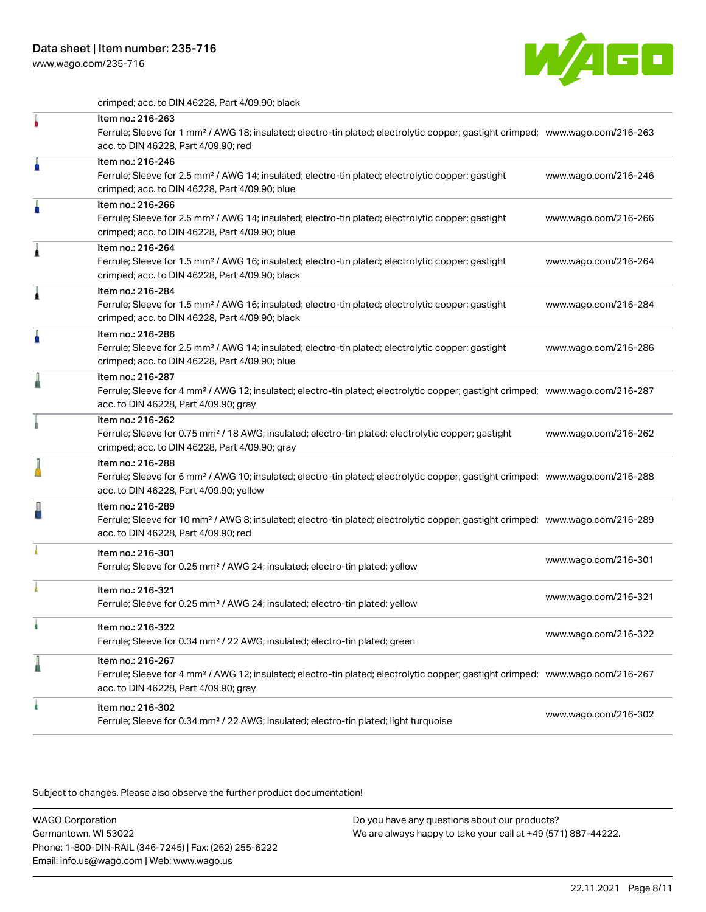[www.wago.com/235-716](http://www.wago.com/235-716)



crimped; acc. to DIN 46228, Part 4/09.90; black

|   | Item no.: 216-263<br>Ferrule; Sleeve for 1 mm <sup>2</sup> / AWG 18; insulated; electro-tin plated; electrolytic copper; gastight crimped; www.wago.com/216-263<br>acc. to DIN 46228, Part 4/09.90; red    |                      |
|---|------------------------------------------------------------------------------------------------------------------------------------------------------------------------------------------------------------|----------------------|
| Å | Item no.: 216-246<br>Ferrule; Sleeve for 2.5 mm <sup>2</sup> / AWG 14; insulated; electro-tin plated; electrolytic copper; gastight<br>crimped; acc. to DIN 46228, Part 4/09.90; blue                      | www.wago.com/216-246 |
| Å | Item no.: 216-266<br>Ferrule; Sleeve for 2.5 mm <sup>2</sup> / AWG 14; insulated; electro-tin plated; electrolytic copper; gastight<br>crimped; acc. to DIN 46228, Part 4/09.90; blue                      | www.wago.com/216-266 |
| Â | Item no.: 216-264<br>Ferrule; Sleeve for 1.5 mm <sup>2</sup> / AWG 16; insulated; electro-tin plated; electrolytic copper; gastight<br>crimped; acc. to DIN 46228, Part 4/09.90; black                     | www.wago.com/216-264 |
|   | Item no.: 216-284<br>Ferrule; Sleeve for 1.5 mm <sup>2</sup> / AWG 16; insulated; electro-tin plated; electrolytic copper; gastight<br>crimped; acc. to DIN 46228, Part 4/09.90; black                     | www.wago.com/216-284 |
|   | Item no.: 216-286<br>Ferrule; Sleeve for 2.5 mm <sup>2</sup> / AWG 14; insulated; electro-tin plated; electrolytic copper; gastight<br>crimped; acc. to DIN 46228, Part 4/09.90; blue                      | www.wago.com/216-286 |
|   | Item no.: 216-287<br>Ferrule; Sleeve for 4 mm <sup>2</sup> / AWG 12; insulated; electro-tin plated; electrolytic copper; gastight crimped; www.wago.com/216-287<br>acc. to DIN 46228, Part 4/09.90; gray   |                      |
|   | Item no.: 216-262<br>Ferrule; Sleeve for 0.75 mm <sup>2</sup> / 18 AWG; insulated; electro-tin plated; electrolytic copper; gastight<br>crimped; acc. to DIN 46228, Part 4/09.90; gray                     | www.wago.com/216-262 |
|   | Item no.: 216-288<br>Ferrule; Sleeve for 6 mm <sup>2</sup> / AWG 10; insulated; electro-tin plated; electrolytic copper; gastight crimped; www.wago.com/216-288<br>acc. to DIN 46228, Part 4/09.90; yellow |                      |
|   | Item no.: 216-289<br>Ferrule; Sleeve for 10 mm <sup>2</sup> / AWG 8; insulated; electro-tin plated; electrolytic copper; gastight crimped; www.wago.com/216-289<br>acc. to DIN 46228, Part 4/09.90; red    |                      |
|   | Item no.: 216-301<br>Ferrule; Sleeve for 0.25 mm <sup>2</sup> / AWG 24; insulated; electro-tin plated; yellow                                                                                              | www.wago.com/216-301 |
|   | Item no.: 216-321<br>Ferrule; Sleeve for 0.25 mm <sup>2</sup> / AWG 24; insulated; electro-tin plated; yellow                                                                                              | www.wago.com/216-321 |
|   | Item no.: 216-322<br>Ferrule; Sleeve for 0.34 mm <sup>2</sup> / 22 AWG; insulated; electro-tin plated; green                                                                                               | www.wago.com/216-322 |
|   | Item no.: 216-267<br>Ferrule; Sleeve for 4 mm <sup>2</sup> / AWG 12; insulated; electro-tin plated; electrolytic copper; gastight crimped; www.wago.com/216-267<br>acc. to DIN 46228, Part 4/09.90; gray   |                      |
| ۸ | Item no.: 216-302<br>Ferrule; Sleeve for 0.34 mm <sup>2</sup> / 22 AWG; insulated; electro-tin plated; light turquoise                                                                                     | www.wago.com/216-302 |

Subject to changes. Please also observe the further product documentation!

WAGO Corporation Germantown, WI 53022 Phone: 1-800-DIN-RAIL (346-7245) | Fax: (262) 255-6222 Email: info.us@wago.com | Web: www.wago.us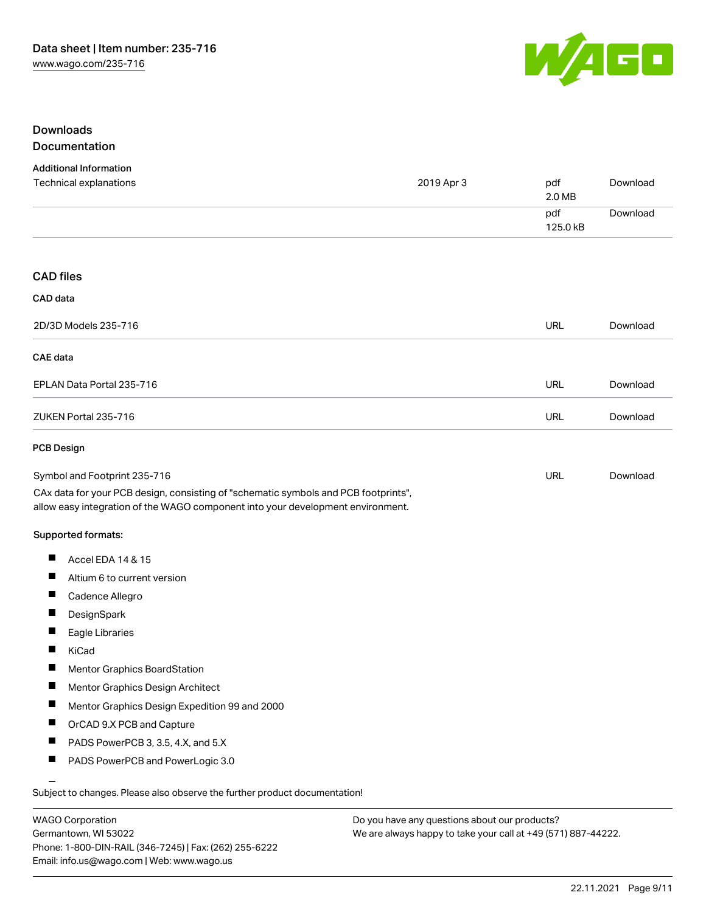

## Downloads Documentation

| <b>Additional Information</b>                                                                                                                                          |            |                 |          |
|------------------------------------------------------------------------------------------------------------------------------------------------------------------------|------------|-----------------|----------|
| Technical explanations                                                                                                                                                 | 2019 Apr 3 | pdf<br>2.0 MB   | Download |
|                                                                                                                                                                        |            | pdf<br>125.0 kB | Download |
| <b>CAD files</b>                                                                                                                                                       |            |                 |          |
| CAD data                                                                                                                                                               |            |                 |          |
| 2D/3D Models 235-716                                                                                                                                                   |            | <b>URL</b>      | Download |
| CAE data                                                                                                                                                               |            |                 |          |
| EPLAN Data Portal 235-716                                                                                                                                              |            | <b>URL</b>      | Download |
| ZUKEN Portal 235-716                                                                                                                                                   |            | <b>URL</b>      | Download |
| PCB Design                                                                                                                                                             |            |                 |          |
| Symbol and Footprint 235-716                                                                                                                                           |            | <b>URL</b>      | Download |
| CAx data for your PCB design, consisting of "schematic symbols and PCB footprints",<br>allow easy integration of the WAGO component into your development environment. |            |                 |          |
| Supported formats:                                                                                                                                                     |            |                 |          |
| ш<br>Accel EDA 14 & 15                                                                                                                                                 |            |                 |          |
| Altium 6 to current version                                                                                                                                            |            |                 |          |
| Cadence Allegro                                                                                                                                                        |            |                 |          |
| ш<br>DesignSpark                                                                                                                                                       |            |                 |          |
| Eagle Libraries                                                                                                                                                        |            |                 |          |
| KiCad                                                                                                                                                                  |            |                 |          |
| Ш<br>Mentor Graphics BoardStation                                                                                                                                      |            |                 |          |
| Mentor Graphics Design Architect                                                                                                                                       |            |                 |          |
|                                                                                                                                                                        |            |                 |          |
| Mentor Graphics Design Expedition 99 and 2000                                                                                                                          |            |                 |          |
| ш<br>OrCAD 9.X PCB and Capture                                                                                                                                         |            |                 |          |
| PADS PowerPCB 3, 3.5, 4.X, and 5.X                                                                                                                                     |            |                 |          |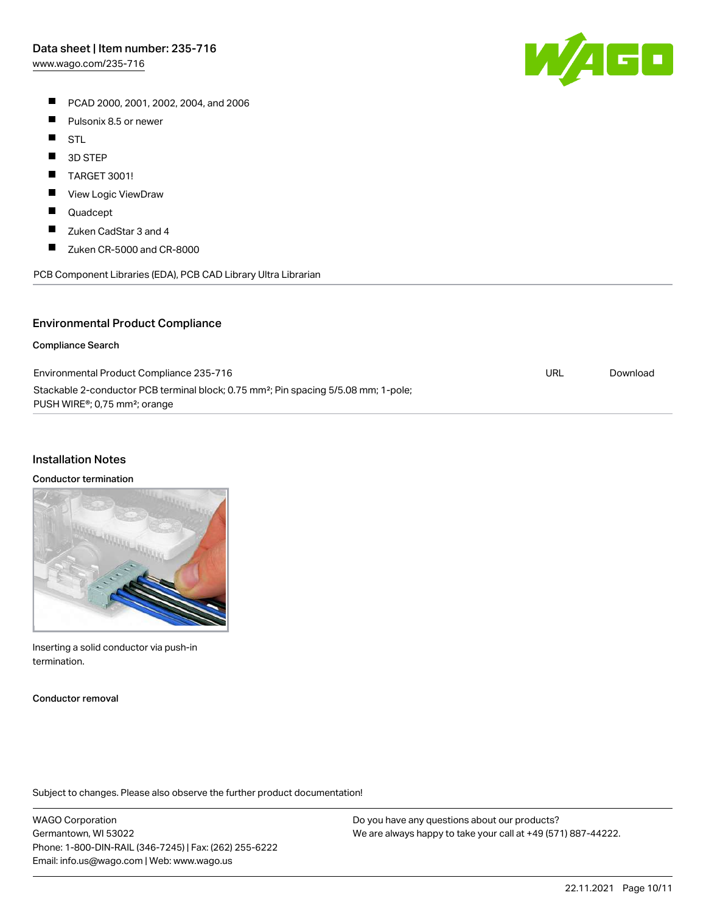PCAD 2000, 2001, 2002, 2004, and 2006

- $\blacksquare$ Pulsonix 8.5 or newer
- $\blacksquare$ STL
- $\blacksquare$ 3D STEP
- $\blacksquare$ TARGET 3001!
- $\blacksquare$ View Logic ViewDraw
- $\blacksquare$ Quadcept
- $\blacksquare$ Zuken CadStar 3 and 4
- $\blacksquare$ Zuken CR-5000 and CR-8000

PCB Component Libraries (EDA), PCB CAD Library Ultra Librarian

## Environmental Product Compliance

#### Compliance Search

| Environmental Product Compliance 235-716                                                                                                                  | URL | Download |
|-----------------------------------------------------------------------------------------------------------------------------------------------------------|-----|----------|
| Stackable 2-conductor PCB terminal block; 0.75 mm <sup>2</sup> ; Pin spacing 5/5.08 mm; 1-pole;<br>PUSH WIRE <sup>®</sup> ; 0,75 mm <sup>2</sup> ; orange |     |          |

#### Installation Notes

#### Conductor termination

Inserting a solid conductor via push-in termination.

Conductor removal

Subject to changes. Please also observe the further product documentation!

WAGO Corporation Germantown, WI 53022 Phone: 1-800-DIN-RAIL (346-7245) | Fax: (262) 255-6222 Email: info.us@wago.com | Web: www.wago.us